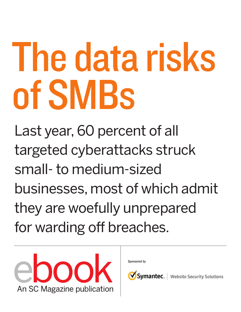# The data risks of SMBs

Last year, 60 percent of all targeted cyberattacks struck small- to medium-sized businesses, most of which admit they are woefully unprepared for warding off breaches.



Sponsored by

Symantec.

Website Security Solutions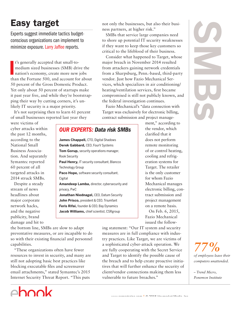## Easy target

Experts suggest immediate tactics budgetconscious organizations can implement to minimize exposure. Larry Jaffee reports.

t's generally accepted that small-to-<br>medium sized businesses (SMB) drive the<br>nation's economy, create more new jobs<br>than the Fortune 500, and account for about t's generally accepted that small-tomedium sized businesses (SMB) drive the nation's economy, create more new jobs 50 percent of the Gross Domestic Product. Yet only about 50 percent of startups make it past year five, and while they're bootstrapping their way by cutting corners, it's unlikely IT security is a major priority.

It's not surprising then to learn 61 percent of small businesses reported last year they

were victims of cyber attacks within the past 12 months, according to the National Small Business Association. And separately Symantec reported 60 percent of all targeted attacks in 2014 struck SMBs.

Despite a steady stream of news headlines about major corporate network hacks, and the negative publicity, brand damage and hit to OUR EXPERTS: Data risk SMBs

**James Chappell,** CTO, Digital Shadows **Derek Gabbard,** CEO, FourV Systems **Tom Gorup,** security operations manager, Rook Security **Paul Henry,** IT security consultant, Blancco Technology Group **Paco Hope,** software security consultant, **Cigital Amandeep Lamba,** director, cybersecurity and privacy, PwC **Jonathan Niednagel,** CEO, Datum Security **John Prisco,** president & CEO, Triumfant **Feris Rifai,** founder & CEO, Bay Dynamics

**Jacob Williams,** chief scientist, CSRgroup

not only the businesses, but also their business partners, at higher risk."

SMBs that service large companies need to shore up potential IT security weaknesses if they want to keep those key customers so critical to the lifeblood of their business.

Consider what happened to Target, whose major breach in November 2014 resulted from attackers gaining network credentials from a Sharpsburg, Penn.-based, third-party vendor. Just how Fazio Mechanical Services, which specializes in air conditioning/ heating/ventilation services, frst became compromised is still not publicly known, and the federal investigation continues.

Fazio Mechanical's "data connection with Target was exclusively for electronic billing, contract submission and project manage-

> ment," according to the vendor, which clarifed that it does not perform remote monitoring of or control heating, cooling and refrigeration systems for Target. The retailer is the only customer for whom Fazio Mechanical manages electronic billing, contract submission and project management on a remote basis.

On Feb. 6, 2015, Fazio Mechanical issued the follow-

the bottom line, SMBs are slow to adapt preventative measures, or are incapable to do so with their existing fnancial and personnel capabilities.

"These organizations often have fewer resources to invest in security, and many are still not adopting basic best practices like blocking executable fles and screensaver email attachments," stated Symantec's 2015 Internet Security Threat Report. "This puts



ing statement: "Our IT system and security measures are in full compliance with industry practices. Like Target, we are victims of a sophisticated cyber-attack operation. We are fully cooperating with the Secret Service and Target to identify the possible cause of the breach and to help create proactive initiatives that will further enhance the security of client/vendor connections making them less vulnerable to future breaches."

COMBIN

*77% of employees leave their computers unattended.*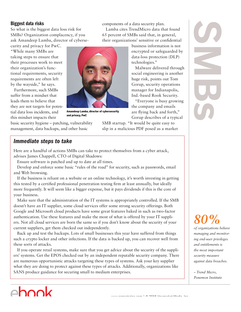### Biggest data risks

So what is the biggest data loss risk for SMBs? Organization complacency, if you ask Amandeep Lamba, director of cyberse-

curity and privacy for PwC. "While many SMBs are taking steps to ensure that their processes work to meet their organization's functional requirements, security requirements are often left by the wayside," he says.

Furthermore, such SMBs suffer from a mindset that leads them to believe that they are not targets for potential data loss incidents, and this mindset impacts their

basic security hygiene – patching, vulnerability management, data backups, and other basic Amandeep Lamba, director of cybersecurity and privacy, PwC

components of a data security plan. Lamba cites TrendMicro data that found 65 percent of SMBs said that, in general, their organizations' sensitive or confdential

> business information is not encrypted or safeguarded by data-loss protection (DLP) technologies."

Malware delivered through social engineering is another huge risk, points out Tom Gorup, security operations manager for Indianapolis, Ind.-based Rook Security.

"Everyone is busy growing the company and emails are fying back and forth," Gorup describes of a typical

SMB startup. "It would be quite easy to slip in a malicious PDF posed as a market **Ponemical Contract Contract Contract Contract Contract Contract Contract Contract Contract Contract Contract Contract Contract Contract Contract Contract Contract Contract Contract Contract Contract Contract Contract Cont** 

### Immediate steps to take

Here are a handful of actions SMBs can take to protect themselves from a cyber attack, advises James Chappell, CTO of Digital Shadows:

Ensure software is patched and up to date at all times.

Develop and enforce some basic "rules of the road" for security, such as passwords, email and Web browsing.

If the business is reliant on a website or an online technology, it's worth investing in getting this tested by a certifed professional penetration testing frm at least annually, but ideally more frequently. It will seem like a bigger expense, but it pays dividends if this is the core of your business.

Make sure that the administration of the IT systems is appropriately controlled. If the SMB doesn't have an IT supplier, some cloud services offer some strong security offerings. Both Google and Microsoft cloud products have some great features baked in such as two-factor authentication. Use these features and make the most of what is offered by your IT suppliers. Not all cloud services are born the same so if you don't know about the security of your current suppliers, get them checked out independently.

Back up and test the backups. Lots of small businesses this year have suffered from things such a crypto locker and other infections. If the data is backed up, you can recover well from these sorts of attacks.

If you operate retail systems, make sure that you get advice about the security of the suppliers' systems. Get the EPOS checked out by an independent reputable security company. There are numerous opportunistic attacks targeting these types of systems. Ask your key supplier what they are doing to protect against these types of attacks. Additionally, organizations like SANS produce guidance for securing small to medium enterprises.

# *80%*

*of organizations believe managing and monitoring end-user privileges and entitlements is the most important security measure against data breaches.*

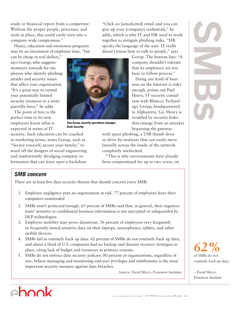study or fnancial report from a competitor. Without the proper people, processes, and tools in place, this could easily turn into a company-wide compromise."

Hence, education and awareness programs may be an investment of employee time, "but

can be cheap in real dollars," says Gorup, who suggests monetary rewards for employees who identify phishing attacks and security issues that affect your organization. "It's a great way to extend your potentially limited security resources to a more guerrilla force," he adds.

The point of hire is the perfect time to let new employees know what is expected in terms of IT

Tom Gorup, security operations manager, Rook Security

security. Such education can be couched in marketing terms, notes Gorup, such as "Secure yourself, secure your family," to ward off the dangers of social engineering and inadvertently divulging company information that can leave open a backdoor.

"Click an [unsolicited] email and you can give up your [company] credentials," he adds, which is why IT and HR need to work together to mitigate phishing risks. "HR speaks the language of the user. IT really doesn't know how to talk to people," says

> Gorup. The bottom line: "A company shouldn't tolerate that its employees are too busy to follow process."

Doing any kind of business on the Internet is risky enough, points out Paul Henry, IT security consultant with Blancco Technology Group, headquartered in Alpharetta, Ga. Henry is troubled by security holes that emerge from an attacker bypassing the gateway

with spear phishing, a USB thumb drive or drive-by-malware that can easily move laterally across the inside of the network completely unchecked.

"This is why environments have already been compromised for up to two years, on

### SMB concern

There are at least fve data security threats that should concern every SMB:

- 1. Employee negligence puts an organization at risk. 77 percent of employees leave their computers unattended
- 2. SMBs aren't protected enough. 65 percent of SMBs said that, in general, their organizations' sensitive or confdential business information is not encrypted or safeguarded by DLP technologies.
- 3. Employee mobility may prove disastrous. 56 percent of employees very frequently or frequently stored sensitive data on their laptops, smartphones, tablets, and other mobile devices.
- 4. SMBs fail to routinely back up data. 62 percent of SMBs do not routinely back up data, and about a third of U.S. companies had no backup and disaster recovery strategies in place, citing lack of budget and resources as primary reasons.
- 5. SMBs do not enforce data security policies. 80 percent of organizations, regardless of size, believe managing and monitoring end-user privileges and entitlements is the most important security measure against data breaches.

*Source: Trend Micro, Ponemon Institute*



*62% of SMBs do not routinely back up data.*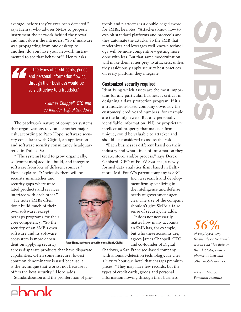average, before they've ever been detected," says Henry, who advises SMBs to properly instrument the network behind the frewall and hunt down the intruders. "So if malware was propagating from one desktop to another, do you have your network instrumented to see that behavior?" Henry asks.

> ...the types of credit cards, goods and personal information flowing through their business would be very attractive to a fraudster."

> > – James Chappell, CTO and co-founder, Digital Shadows

The patchwork nature of computer systems that organizations rely on is another major risk, according to Paco Hope, software security consultant with Cigital, an application and software security consultancy headquartered in Dulles, Va.

"[The systems] tend to grow organically, so [companies] acquire, build, and integrate software from lots of different sources," Hope explains. "Obviously there will be

security mismatches and security gaps where unrelated products and services interface with each other."

He notes SMBs often don't build much of their own software, except perhaps programs for their core competency. "So the security of an SMB's own software and its software ecosystem is more dependent on applying security



Paco Hope, software security consultant, Cigital

across disparate products that have disparate capabilities. Often some insecure, lowest common denominator is used because it is the technique that works, not because it offers the best security," Hope adds.

Standardization and the proliferation of pro-



tocols and platforms is a double-edged sword for SMBs, he notes. "Attackers know how to exploit standard platforms and protocols and they automate the attacks. So the SMB that modernizes and leverages well-known technology will be more competitive – getting more done with less. But that same modernization will make them easier prey to attackers, unless they assiduously apply security best practices on every platform they integrate."

### Customized security required

Identifying which assets are the most important for any particular business is critical in designing a data protection program. If it's a transaction-based company obviously the customers' credit-card numbers, for example, are the family jewels. But any personally identifable information (PII), or proprietary intellectual property that makes a frm unique, could be valuable to attacker and should be considered to assess the risk.

"Each business is different based on their industry and what kinds of information they create, store, and/or process," says Derek Gabbard, CEO of FourV Systems, a newly formed data analytics frm, based in Baltimore, Md. FourV's parent company is SRC

> Inc., a research and development frm specializing in the intelligence and defense needs of government agencies. The size of the company shouldn't give SMBs a false sense of security, he adds.

It does not necessarily matter how many accounts an SMB has, for example, but who these accounts are, agrees James Chappell, CTO and co-founder of Digital

Shadows, a San Francisco-based company with anomaly-detection technology. He cites a luxury boutique hotel that charges premium prices. "They may have few records, but the types of credit cards, goods and personal information fowing through their business

COMBIN

# *56%*

*of employees very frequently or frequently stored sensitive data on their laptops, smartphones, tablets and other mobile devices.*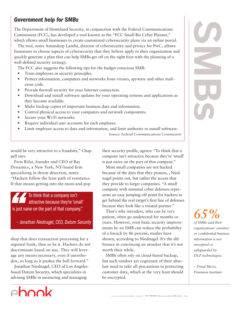### Government help for SMBs

The Department of Homeland Security, in conjunction with the Federal Communications Commission (FCC), has developed a tool known as the "FCC Small Biz Cyber Planner," which allows small businesses to create customized cybersecurity plans via an online portal.

The tool, notes Amandeep Lamba, director of cybersecurity and privacy for PwC, allows businesses to choose aspects of cybersecurity that they believe apply to their organization and quickly generate a plan that can help SMBs get off on the right foot with the planning of a well-defned security strategy.

The FCC also suggests the following tips for the budget conscious SMB:

- Train employees in security principles.
- Protect information, computers and networks from viruses, spyware and other malicious code.
- Provide frewall security for your Internet connection.
- Download and install software updates for your operating systems and applications as they become available.
- Make backup copies of important business data and information.
- Control physical access to your computers and network components.
- Secure your Wi-Fi networks.
- Require individual user accounts for each employee.
- Limit employee access to data and information, and limit authority to install software.

*Source: Federal Communications Commission*

would be very attractive to a fraudster," Chappell says.

Feris Rifai, founder and CEO of Bay Dynamics, a New York, NY-based frm specializing in threat detection, notes: "Hackers follow the least path of resistance. If that means getting into the mom-and-pop

To think that a company isn't attractive because they're 'small' is just naive on the part of that company."

– Jonathan Niednagel, CEO, Datum Security

shop that does transaction processing for a regional bank, then so be it. Hackers do not discriminate based on size. They will leverage any means necessary, even if unorthodox, so long as it pushes the ball forward."

Jonathan Niednagel, CEO of Los Angelesbased Datum Security, which specializes in advising SMBs in measuring and managing



their security profle, agrees: "To think that a company isn't attractive because they're 'small' is just naive on the part of that company."

Most small companies are not hacked because of the data that they possess, , Niednagel points out, but rather the access that they provide to larger companies. "A small company with minimal cyber defenses represents an easy jumping-off point for hackers to get behind the real target's frst line of defenses because they look like a trusted partner."

That's why intruders, who can be very patient, often go undetected for months or years. However, even basic security improvements by an SMB can reduce the probability of a breach by 86 percent, studies have shown, according to Niednagel. It's the difference in convincing an attacker that it's not worth their while.

SMBs often rely on cloud-based backup, but such vendors are cognizant of their absolute need to take all precautions in protecting customer data, which at the very least should be encrypted.

*65% of SMBs said their organizations' sensitive or confdential business information is not encrypted or safeguarded by DLP technologies.*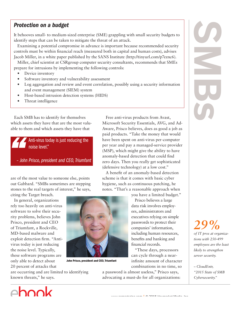### Protection on a budget

It behooves small- to medium-sized enterprise (SME) grappling with small security budgets to identify steps that can be taken to mitigate the threat of an attack.

Examining a potential compromise in advance is important because recommended security controls must be within fnancial reach (measured both in capital and human costs), advises Jacob Miller, in a white paper published by the SANS Institute (http://tinyurl.com/p7eznc6).

Miller, chief scientist at CSRgroup computer security consultants, recommends that SMEs prepare for intrusions by implementing the following controls:

- Device inventory
- Software inventory and vulnerability assessment
- Log aggregation and review and event correlation, possibly using a security information and event management (SIEM) system
- Host-based intrusion detection systems (HIDS)
- Threat intelligence

Each SMB has to identify for themselves which assets they have that are the most valuable to them and which assets they have that

> Anti-virus today is just reducing the noise level."

– John Prisco, president and CEO, Triumfant

are of the most value to someone else, points out Gabbard. "SMBs sometimes are stepping stones to the real targets of interest," he says,

citing the Target breach.

In general, organizations rely too heavily on anti-virus software to solve their security problems, believes John Prisco, president and CEO of Triumfant, a Rockville, MD-based malware and exploit detection frm. "Antivirus today is just reducing the noise level. Typically, these software programs are only able to detect about 20 percent of attacks that



John Prisco, president and CEO, Triumfant

are occurring and are limited to identifying known threats," he says.

 $\triangle$ hook

fnancial records. "These days, processors can cycle through a nearinfnite amount of character combinations in no time, so

you have a limited budget." Prisco believes a large data risk involves employees, administrators and executives relying on simple passwords to protect their companies' information, including human resources, benefts and banking and

a password is almost useless," Prisco says, advocating a must-do for all organizations:

Free anti-virus products from Avast, Microsoft Security Essentials, AVG, and Ad-Aware, Prisco believes, does as good a job as paid products. "Take the money that would have been spent on anti-virus per-computer per year and pay a managed-service provider (MSP), which might give the ability to have anomaly-based detection that could fnd zero days. Then you really get sophisticated

(defensive technology) at a low cost."

A beneft of an anomaly-based detection scheme is that it comes with basic cyber hygiene, such as continuous patching, he notes. "That's a reasonable approach when



# *29%*

*of IT pros at organizations with 250-499 employees are the least likely to strengthen server security.* 

*– CloudEntr, "2015 State of SMB*  Cybersecurity."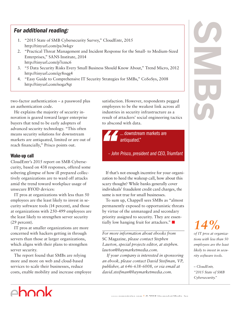### For additional reading:

- 1. "2015 State of SMB Cybersecurity Survey," CloudEntr, 2015 http://tinyurl.com/pa3wkgv
- 2. "Practical Threat Management and Incident Response for the Small- to Medium-Sized Enterprises," SANS Institute, 2014 http://tinyurl.com/p7eznc6
- 3. "5 Data Security Risks Every Small Business Should Know About," Trend Micro, 2012 http://tinyurl.com/qy8oqg4
- 4. "Easy Guide to Comprehensive IT Security Strategies for SMBs," CoSoSys, 2008 http://tinyurl.com/noga9qt

two-factor authentication – a password plus an authentication code.

He explains the majority of security innovation is geared toward larger enterprise buyers that tend to be early adopters of advanced security technology. "This often means security solutions for downstream markets are antiquated, limited or are out of reach fnancially," Prisco points out.

### Wake-up call

CloudEntr's 2015 report on SMB Cybersecurity, based on 438 responses, offered some sobering glimpse of how ill prepared collectively organizations are to ward off attacks amid the trend toward workplace usage of unsecure BYOD devices:

IT pros at organizations with less than 50 employees are the least likely to invest in security software tools (14 percent), and those at organizations with 250-499 employees are the least likely to strengthen server security (29 percent).

IT pros at smaller organizations are more concerned with hackers getting in through servers than those at larger organizations, which aligns with their plans to strengthen server security.

The report found that SMBs are relying more and more on web and cloud-based services to scale their businesses, reduce costs, enable mobility and increase employee satisfaction. However, respondents pegged employees to be the weakest link across all industries in security infrastructure as a result of attackers' social engineering tactics to abscond with data.

> ... downstream markets are antiquated."

– John Prisco, president and CEO, Triumfant

If that's not enough incentive for your organization to heed the wakeup call, how about this scary thought? While banks generally cover individuals' fraudulent credit card charges, the same is not true for small businesses.

To sum up, Chappell sees SMBs as "almost permanently exposed to opportunistic threats by virtue of the unmanaged and secondary priority assigned to security. They are essentially low hanging fruit for attackers."

*For more information about ebooks from* SC Magazine*, please contact Stephen Lawton, special projects editor, at stephen. lawton@haymarketmedia.com.*

 *If your company is interested in sponsoring an ebook, please contact David Steifman, VP, publisher, at 646-638-6008, or via email at david.steifman@haymarketmedia.com.*

# *Cybersecurity."*<br>
Cybersecurity and the state of SMBs<br> *Cybersecurity*.

# *14%*

*of IT pros at organizations with less than 50 employees are the least likely to invest in security software tools.*

*– CloudEntr, "2015 State of SMB*  Cybersecurity."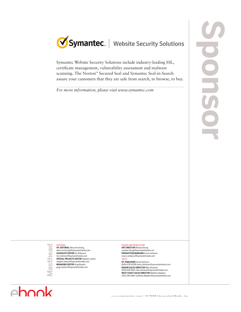

Symantec Website Security Solutions include industry-leading SSL, certifcate management, vulnerability assessment and malware scanning. The Norton™ Secured Seal and Symantec Seal-in-Search assure your customers that they are safe from search, to browse, to buy.

*For more information, please visit www.symantec.com*

**Masthead Deal Mastl** 

EDITORIAL **VP, EDITORIAL** Illena Armstrong illena.armstrong@haymarketmedia.com **ASSOCIATE EDITOR** Teri Robinson teri.robinson@haymarketmedia.com **SPECIAL PROJECTS EDITOR** Stephen Lawton stephen.lawton@haymarketmedia.com **MANAGING EDITOR** Greg Masters

greg.masters@haymarketmedia.com

### DESIGN AND PRODUCTION

**ART DIRECTOR** Michael Strong michael.strong@haymarketmedia.com **PRODUCTION MANAGER** Krassi Varbanov krassi.varbanov@haymarketmedia.com SALES

**VP, PUBLISHER** David Steifman (646) 638-6008 david.steifman@haymarketmedia.com **REGION SALES DIRECTOR** Mike Shemesh (646) 638-6016 mike.shemesh@haymarketmedia.com **WEST COAST SALES DIRECTOR** Matthew Allington (415) 346-6460 matthew.allington@haymarketmedia.com

ehook

www.schedule.com | © 2015 Haymarket Media, Inc.